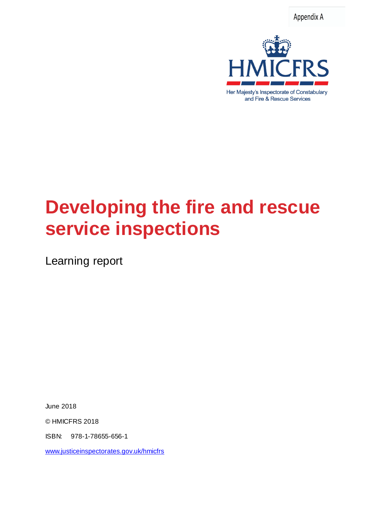Appendix A



# **Developing the fire and rescue service inspections**

Learning report

June 2018

© HMICFRS 2018

ISBN: 978-1-78655-656-1

[www.justiceinspectorates.gov.uk/hmicfrs](http://www.justiceinspectorates.gov.uk/hmicfrs)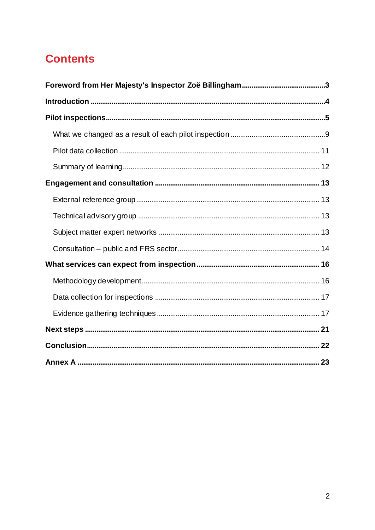# **Contents**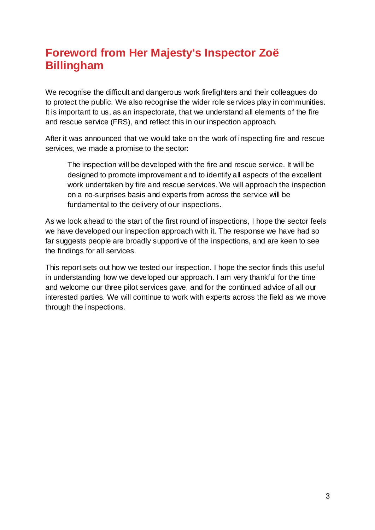# <span id="page-2-0"></span>**Foreword from Her Majesty's Inspector Zoë Billingham**

We recognise the difficult and dangerous work firefighters and their colleagues do to protect the public. We also recognise the wider role services play in communities. It is important to us, as an inspectorate, that we understand all elements of the fire and rescue service (FRS), and reflect this in our inspection approach.

After it was announced that we would take on the work of inspecting fire and rescue services, we made a promise to the sector:

The inspection will be developed with the fire and rescue service. It will be designed to promote improvement and to identify all aspects of the excellent work undertaken by fire and rescue services. We will approach the inspection on a no-surprises basis and experts from across the service will be fundamental to the delivery of our inspections.

As we look ahead to the start of the first round of inspections, I hope the sector feels we have developed our inspection approach with it. The response we have had so far suggests people are broadly supportive of the inspections, and are keen to see the findings for all services.

This report sets out how we tested our inspection. I hope the sector finds this useful in understanding how we developed our approach. I am very thankful for the time and welcome our three pilot services gave, and for the continued advice of all our interested parties. We will continue to work with experts across the field as we move through the inspections.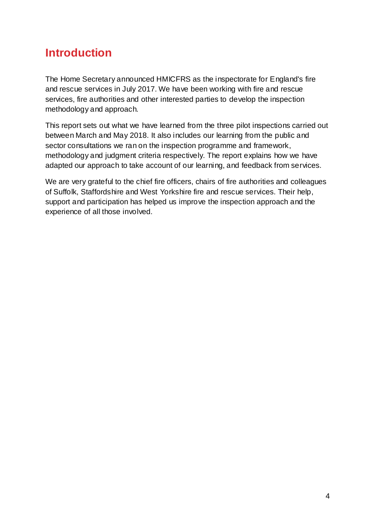# <span id="page-3-0"></span>**Introduction**

The Home Secretary announced HMICFRS as the inspectorate for England's fire and rescue services in July 2017. We have been working with fire and rescue services, fire authorities and other interested parties to develop the inspection methodology and approach.

This report sets out what we have learned from the three pilot inspections carried out between March and May 2018. It also includes our learning from the public and sector consultations we ran on the inspection programme and framework, methodology and judgment criteria respectively. The report explains how we have adapted our approach to take account of our learning, and feedback from services.

We are very grateful to the chief fire officers, chairs of fire authorities and colleagues of Suffolk, Staffordshire and West Yorkshire fire and rescue services. Their help, support and participation has helped us improve the inspection approach and the experience of all those involved.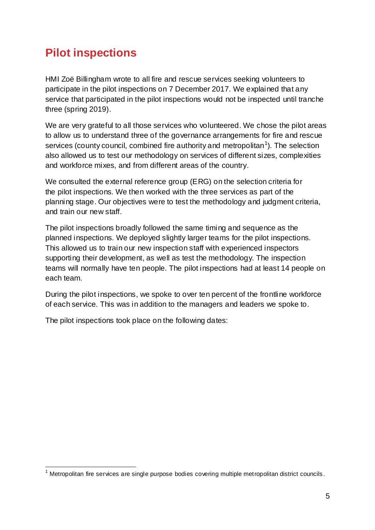# <span id="page-4-0"></span>**Pilot inspections**

HMI Zoë Billingham wrote to all fire and rescue services seeking volunteers to participate in the pilot inspections on 7 December 2017. We explained that any service that participated in the pilot inspections would not be inspected until tranche three (spring 2019).

We are very grateful to all those services who volunteered. We chose the pilot areas to allow us to understand three of the governance arrangements for fire and rescue services (county council, combined fire authority and metropolitan<sup>1</sup>). The selection also allowed us to test our methodology on services of different sizes, complexities and workforce mixes, and from different areas of the country.

We consulted the external reference group (ERG) on the selection criteria for the pilot inspections. We then worked with the three services as part of the planning stage. Our objectives were to test the methodology and judgment criteria, and train our new staff.

The pilot inspections broadly followed the same timing and sequence as the planned inspections. We deployed slightly larger teams for the pilot inspections. This allowed us to train our new inspection staff with experienced inspectors supporting their development, as well as test the methodology. The inspection teams will normally have ten people. The pilot inspections had at least 14 people on each team.

During the pilot inspections, we spoke to over ten percent of the frontline workforce of each service. This was in addition to the managers and leaders we spoke to.

The pilot inspections took place on the following dates:

l  $1$  Metropolitan fire services are single purpose bodies covering multiple metropolitan district councils.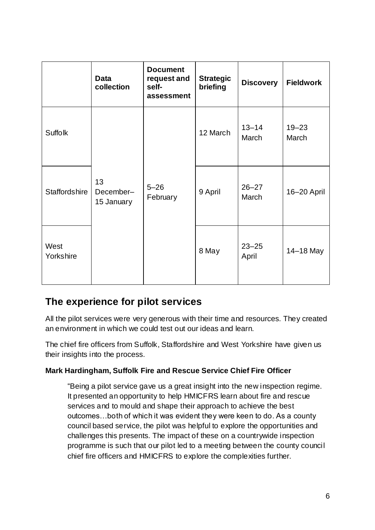|                      | <b>Data</b><br>collection     | <b>Document</b><br>request and<br>self-<br>assessment | <b>Strategic</b><br>briefing | <b>Discovery</b>   | <b>Fieldwork</b>   |
|----------------------|-------------------------------|-------------------------------------------------------|------------------------------|--------------------|--------------------|
| <b>Suffolk</b>       | 13<br>December-<br>15 January | $5 - 26$<br>February                                  | 12 March                     | $13 - 14$<br>March | $19 - 23$<br>March |
| <b>Staffordshire</b> |                               |                                                       | 9 April                      | $26 - 27$<br>March | 16-20 April        |
| West<br>Yorkshire    |                               |                                                       | 8 May                        | $23 - 25$<br>April | 14-18 May          |

### **The experience for pilot services**

All the pilot services were very generous with their time and resources. They created an environment in which we could test out our ideas and learn.

The chief fire officers from Suffolk, Staffordshire and West Yorkshire have given us their insights into the process.

#### **Mark Hardingham, Suffolk Fire and Rescue Service Chief Fire Officer**

"Being a pilot service gave us a great insight into the new inspection regime. It presented an opportunity to help HMICFRS learn about fire and rescue services and to mould and shape their approach to achieve the best outcomes…both of which it was evident they were keen to do. As a county council based service, the pilot was helpful to explore the opportunities and challenges this presents. The impact of these on a countrywide inspection programme is such that our pilot led to a meeting between the county council chief fire officers and HMICFRS to explore the complexities further.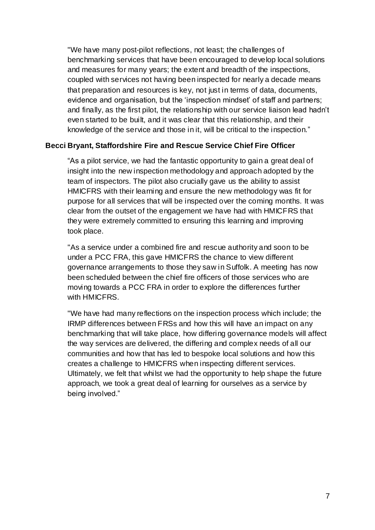"We have many post-pilot reflections, not least; the challenges of benchmarking services that have been encouraged to develop local solutions and measures for many years; the extent and breadth of the inspections, coupled with services not having been inspected for nearly a decade means that preparation and resources is key, not just in terms of data, documents, evidence and organisation, but the 'inspection mindset' of staff and partners; and finally, as the first pilot, the relationship with our service liaison lead hadn't even started to be built, and it was clear that this relationship, and their knowledge of the service and those in it, will be critical to the inspection."

#### **Becci Bryant, Staffordshire Fire and Rescue Service Chief Fire Officer**

"As a pilot service, we had the fantastic opportunity to gain a great deal of insight into the new inspection methodology and approach adopted by the team of inspectors. The pilot also crucially gave us the ability to assist HMICFRS with their learning and ensure the new methodology was fit for purpose for all services that will be inspected over the coming months. It was clear from the outset of the engagement we have had with HMICFRS that they were extremely committed to ensuring this learning and improving took place.

"As a service under a combined fire and rescue authority and soon to be under a PCC FRA, this gave HMICFRS the chance to view different governance arrangements to those they saw in Suffolk. A meeting has now been scheduled between the chief fire officers of those services who are moving towards a PCC FRA in order to explore the differences further with HMICFRS.

"We have had many reflections on the inspection process which include; the IRMP differences between FRSs and how this will have an impact on any benchmarking that will take place, how differing governance models will affect the way services are delivered, the differing and complex needs of all our communities and how that has led to bespoke local solutions and how this creates a challenge to HMICFRS when inspecting different services. Ultimately, we felt that whilst we had the opportunity to help shape the future approach, we took a great deal of learning for ourselves as a service by being involved."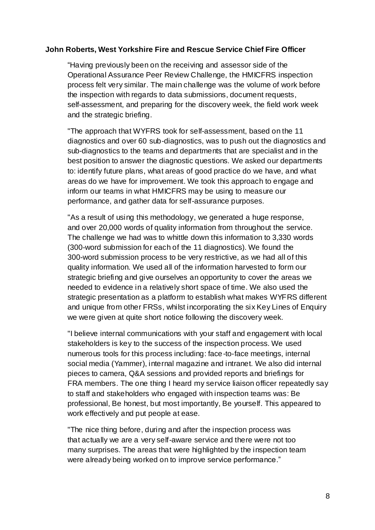#### **John Roberts, West Yorkshire Fire and Rescue Service Chief Fire Officer**

"Having previously been on the receiving and assessor side of the Operational Assurance Peer Review Challenge, the HMICFRS inspection process felt very similar. The main challenge was the volume of work before the inspection with regards to data submissions, document requests, self-assessment, and preparing for the discovery week, the field work week and the strategic briefing.

"The approach that WYFRS took for self-assessment, based on the 11 diagnostics and over 60 sub-diagnostics, was to push out the diagnostics and sub-diagnostics to the teams and departments that are specialist and in the best position to answer the diagnostic questions. We asked our departments to: identify future plans, what areas of good practice do we have, and what areas do we have for improvement. We took this approach to engage and inform our teams in what HMICFRS may be using to measure our performance, and gather data for self-assurance purposes.

"As a result of using this methodology, we generated a huge response, and over 20,000 words of quality information from throughout the service. The challenge we had was to whittle down this information to 3,330 words (300-word submission for each of the 11 diagnostics). We found the 300-word submission process to be very restrictive, as we had all of this quality information. We used all of the information harvested to form our strategic briefing and give ourselves an opportunity to cover the areas we needed to evidence in a relatively short space of time. We also used the strategic presentation as a platform to establish what makes WYFRS different and unique from other FRSs, whilst incorporating the six Key Lines of Enquiry we were given at quite short notice following the discovery week.

"I believe internal communications with your staff and engagement with local stakeholders is key to the success of the inspection process. We used numerous tools for this process including: face-to-face meetings, internal social media (Yammer), internal magazine and intranet. We also did internal pieces to camera, Q&A sessions and provided reports and briefings for FRA members. The one thing I heard my service liaison officer repeatedly say to staff and stakeholders who engaged with inspection teams was: Be professional, Be honest, but most importantly, Be yourself. This appeared to work effectively and put people at ease.

"The nice thing before, during and after the inspection process was that actually we are a very self-aware service and there were not too many surprises. The areas that were highlighted by the inspection team were already being worked on to improve service performance."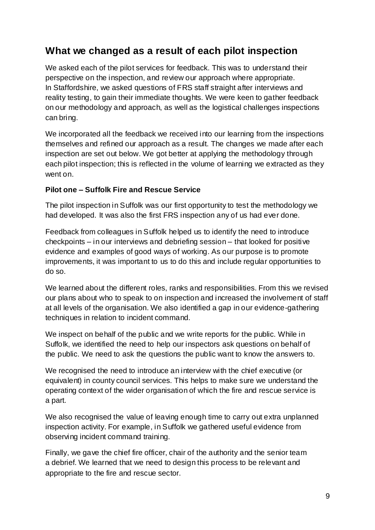### <span id="page-8-0"></span>**What we changed as a result of each pilot inspection**

We asked each of the pilot services for feedback. This was to understand their perspective on the inspection, and review our approach where appropriate. In Staffordshire, we asked questions of FRS staff straight after interviews and reality testing, to gain their immediate thoughts. We were keen to gather feedback on our methodology and approach, as well as the logistical challenges inspections can bring.

We incorporated all the feedback we received into our learning from the inspections themselves and refined our approach as a result. The changes we made after each inspection are set out below. We got better at applying the methodology through each pilot inspection; this is reflected in the volume of learning we extracted as they went on.

#### **Pilot one – Suffolk Fire and Rescue Service**

The pilot inspection in Suffolk was our first opportunity to test the methodology we had developed. It was also the first FRS inspection any of us had ever done.

Feedback from colleagues in Suffolk helped us to identify the need to introduce checkpoints – in our interviews and debriefing session – that looked for positive evidence and examples of good ways of working. As our purpose is to promote improvements, it was important to us to do this and include regular opportunities to do so.

We learned about the different roles, ranks and responsibilities. From this we revised our plans about who to speak to on inspection and increased the involvement of staff at all levels of the organisation. We also identified a gap in our evidence-gathering techniques in relation to incident command.

We inspect on behalf of the public and we write reports for the public. While in Suffolk, we identified the need to help our inspectors ask questions on behalf of the public. We need to ask the questions the public want to know the answers to.

We recognised the need to introduce an interview with the chief executive (or equivalent) in county council services. This helps to make sure we understand the operating context of the wider organisation of which the fire and rescue service is a part.

We also recognised the value of leaving enough time to carry out extra unplanned inspection activity. For example, in Suffolk we gathered useful evidence from observing incident command training.

Finally, we gave the chief fire officer, chair of the authority and the senior team a debrief. We learned that we need to design this process to be relevant and appropriate to the fire and rescue sector.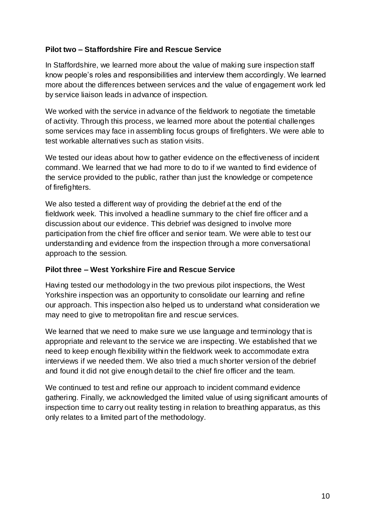#### **Pilot two – Staffordshire Fire and Rescue Service**

In Staffordshire, we learned more about the value of making sure inspection staff know people's roles and responsibilities and interview them accordingly. We learned more about the differences between services and the value of engagement work led by service liaison leads in advance of inspection.

We worked with the service in advance of the fieldwork to negotiate the timetable of activity. Through this process, we learned more about the potential challenges some services may face in assembling focus groups of firefighters. We were able to test workable alternatives such as station visits.

We tested our ideas about how to gather evidence on the effectiveness of incident command. We learned that we had more to do to if we wanted to find evidence of the service provided to the public, rather than just the knowledge or competence of firefighters.

We also tested a different way of providing the debrief at the end of the fieldwork week. This involved a headline summary to the chief fire officer and a discussion about our evidence. This debrief was designed to involve more participation from the chief fire officer and senior team. We were able to test our understanding and evidence from the inspection through a more conversational approach to the session.

#### **Pilot three – West Yorkshire Fire and Rescue Service**

Having tested our methodology in the two previous pilot inspections, the West Yorkshire inspection was an opportunity to consolidate our learning and refine our approach. This inspection also helped us to understand what consideration we may need to give to metropolitan fire and rescue services.

We learned that we need to make sure we use language and terminology that is appropriate and relevant to the service we are inspecting. We established that we need to keep enough flexibility within the fieldwork week to accommodate extra interviews if we needed them. We also tried a much shorter version of the debrief and found it did not give enough detail to the chief fire officer and the team.

We continued to test and refine our approach to incident command evidence gathering. Finally, we acknowledged the limited value of using significant amounts of inspection time to carry out reality testing in relation to breathing apparatus, as this only relates to a limited part of the methodology.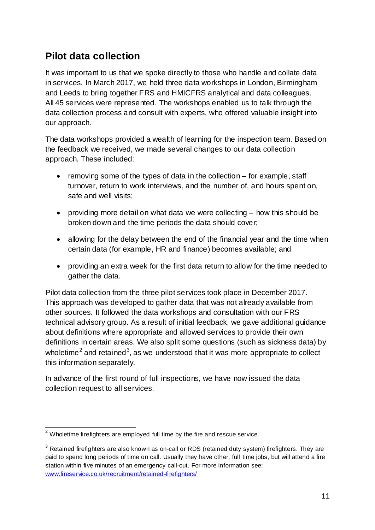### <span id="page-10-0"></span>**Pilot data collection**

It was important to us that we spoke directly to those who handle and collate data in services. In March 2017, we held three data workshops in London, Birmingham and Leeds to bring together FRS and HMICFRS analytical and data colleagues. All 45 services were represented. The workshops enabled us to talk through the data collection process and consult with experts, who offered valuable insight into our approach.

The data workshops provided a wealth of learning for the inspection team. Based on the feedback we received, we made several changes to our data collection approach. These included:

- $\bullet$  removing some of the types of data in the collection for example, staff turnover, return to work interviews, and the number of, and hours spent on, safe and well visits;
- providing more detail on what data we were collecting how this should be broken down and the time periods the data should cover;
- allowing for the delay between the end of the financial year and the time when certain data (for example, HR and finance) becomes available; and
- providing an extra week for the first data return to allow for the time needed to gather the data.

Pilot data collection from the three pilot services took place in December 2017. This approach was developed to gather data that was not already available from other sources. It followed the data workshops and consultation with our FRS technical advisory group. As a result of initial feedback, we gave additional guidance about definitions where appropriate and allowed services to provide their own definitions in certain areas. We also split some questions (such as sickness data) by wholetime<sup>2</sup> and retained<sup>3</sup>, as we understood that it was more appropriate to collect this information separately.

In advance of the first round of full inspections, we have now issued the data collection request to all services.

 $\overline{a}$  $^2$  Wholetime firefighters are employed full time by the fire and rescue service.

 $3$  Retained firefighters are also known as on-call or RDS (retained duty system) firefighters. They are paid to spend long periods of time on call. Usually they have other, full time jobs, but will attend a fire station within five minutes of an emergency call-out. For more information see: [www.fireservice.co.uk/recruitment/retained-firefighters/](http://www.fireservice.co.uk/recruitment/retained-firefighters/)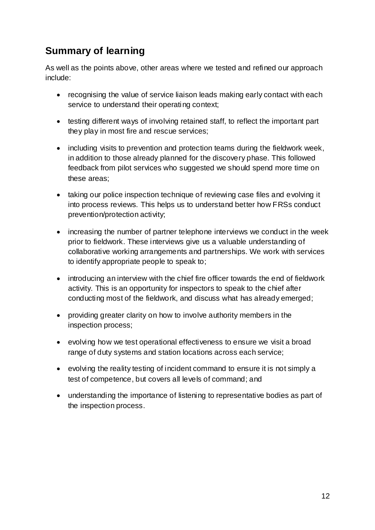# <span id="page-11-0"></span>**Summary of learning**

As well as the points above, other areas where we tested and refined our approach include:

- recognising the value of service liaison leads making early contact with each service to understand their operating context;
- testing different ways of involving retained staff, to reflect the important part they play in most fire and rescue services;
- including visits to prevention and protection teams during the fieldwork week, in addition to those already planned for the discovery phase. This followed feedback from pilot services who suggested we should spend more time on these areas;
- taking our police inspection technique of reviewing case files and evolving it into process reviews. This helps us to understand better how FRSs conduct prevention/protection activity;
- increasing the number of partner telephone interviews we conduct in the week prior to fieldwork. These interviews give us a valuable understanding of collaborative working arrangements and partnerships. We work with services to identify appropriate people to speak to;
- introducing an interview with the chief fire officer towards the end of fieldwork activity. This is an opportunity for inspectors to speak to the chief after conducting most of the fieldwork, and discuss what has already emerged;
- providing greater clarity on how to involve authority members in the inspection process;
- evolving how we test operational effectiveness to ensure we visit a broad range of duty systems and station locations across each service;
- evolving the reality testing of incident command to ensure it is not simply a test of competence, but covers all levels of command; and
- understanding the importance of listening to representative bodies as part of the inspection process.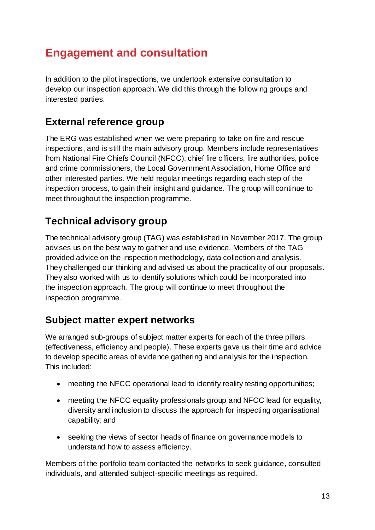# <span id="page-12-0"></span>**Engagement and consultation**

In addition to the pilot inspections, we undertook extensive consultation to develop our inspection approach. We did this through the following groups and interested parties.

### <span id="page-12-1"></span>**External reference group**

The ERG was established when we were preparing to take on fire and rescue inspections, and is still the main advisory group. Members include representatives from National Fire Chiefs Council (NFCC), chief fire officers, fire authorities, police and crime commissioners, the Local Government Association, Home Office and other interested parties. We held regular meetings regarding each step of the inspection process, to gain their insight and guidance. The group will continue to meet throughout the inspection programme.

# <span id="page-12-2"></span>**Technical advisory group**

The technical advisory group (TAG) was established in November 2017. The group advises us on the best way to gather and use evidence. Members of the TAG provided advice on the inspection methodology, data collection and analysis. They challenged our thinking and advised us about the practicality of our proposals. They also worked with us to identify solutions which could be incorporated into the inspection approach. The group will continue to meet throughout the inspection programme.

### <span id="page-12-3"></span>**Subject matter expert networks**

We arranged sub-groups of subject matter experts for each of the three pillars (effectiveness, efficiency and people). These experts gave us their time and advice to develop specific areas of evidence gathering and analysis for the inspection. This included:

- meeting the NFCC operational lead to identify reality testing opportunities;
- meeting the NFCC equality professionals group and NFCC lead for equality, diversity and inclusion to discuss the approach for inspecting organisational capability; and
- seeking the views of sector heads of finance on governance models to understand how to assess efficiency.

Members of the portfolio team contacted the networks to seek guidance, consulted individuals, and attended subject-specific meetings as required.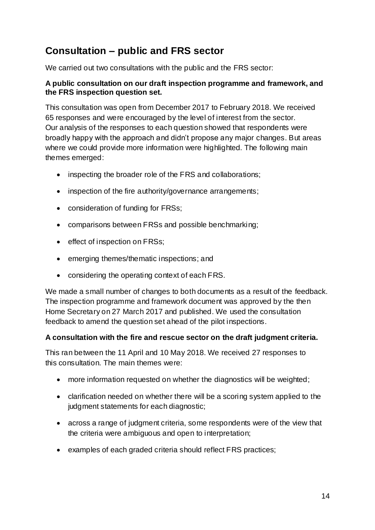# <span id="page-13-0"></span>**Consultation – public and FRS sector**

We carried out two consultations with the public and the FRS sector:

#### **A public consultation on our draft inspection programme and framework, and the FRS inspection question set.**

This consultation was open from December 2017 to February 2018. We received 65 responses and were encouraged by the level of interest from the sector. Our analysis of the responses to each question showed that respondents were broadly happy with the approach and didn't propose any major changes. But areas where we could provide more information were highlighted. The following main themes emerged:

- inspecting the broader role of the FRS and collaborations;
- inspection of the fire authority/governance arrangements;
- consideration of funding for FRSs;
- comparisons between FRSs and possible benchmarking;
- effect of inspection on FRSs;
- emerging themes/thematic inspections; and
- considering the operating context of each FRS.

We made a small number of changes to both documents as a result of the feedback. The inspection programme and framework document was approved by the then Home Secretary on 27 March 2017 and published. We used the consultation feedback to amend the question set ahead of the pilot inspections.

#### **A consultation with the fire and rescue sector on the draft judgment criteria.**

This ran between the 11 April and 10 May 2018. We received 27 responses to this consultation. The main themes were:

- more information requested on whether the diagnostics will be weighted;
- clarification needed on whether there will be a scoring system applied to the judgment statements for each diagnostic;
- across a range of judgment criteria, some respondents were of the view that the criteria were ambiguous and open to interpretation;
- examples of each graded criteria should reflect FRS practices;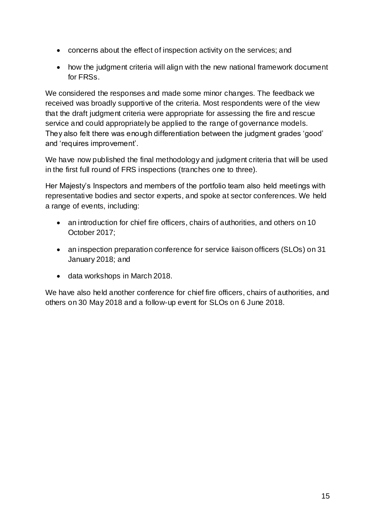- concerns about the effect of inspection activity on the services; and
- how the judgment criteria will align with the new national framework document for FRSs.

We considered the responses and made some minor changes. The feedback we received was broadly supportive of the criteria. Most respondents were of the view that the draft judgment criteria were appropriate for assessing the fire and rescue service and could appropriately be applied to the range of governance models. They also felt there was enough differentiation between the judgment grades 'good' and 'requires improvement'.

We have now published the final methodology and judgment criteria that will be used in the first full round of FRS inspections (tranches one to three).

Her Majesty's Inspectors and members of the portfolio team also held meetings with representative bodies and sector experts, and spoke at sector conferences. We held a range of events, including:

- an introduction for chief fire officers, chairs of authorities, and others on 10 October 2017;
- an inspection preparation conference for service liaison officers (SLOs) on 31 January 2018; and
- data workshops in March 2018.

We have also held another conference for chief fire officers, chairs of authorities, and others on 30 May 2018 and a follow-up event for SLOs on 6 June 2018.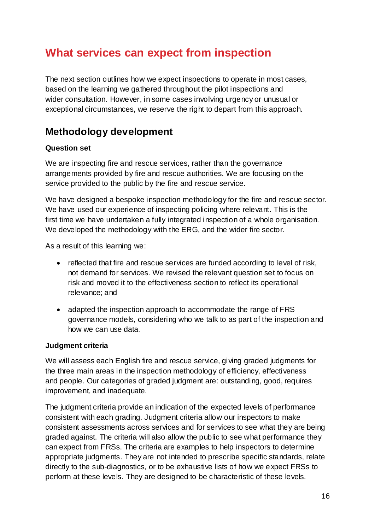# <span id="page-15-0"></span>**What services can expect from inspection**

The next section outlines how we expect inspections to operate in most cases, based on the learning we gathered throughout the pilot inspections and wider consultation. However, in some cases involving urgency or unusual or exceptional circumstances, we reserve the right to depart from this approach.

# <span id="page-15-1"></span>**Methodology development**

#### **Question set**

We are inspecting fire and rescue services, rather than the governance arrangements provided by fire and rescue authorities. We are focusing on the service provided to the public by the fire and rescue service.

We have designed a bespoke inspection methodology for the fire and rescue sector. We have used our experience of inspecting policing where relevant. This is the first time we have undertaken a fully integrated inspection of a whole organisation. We developed the methodology with the ERG, and the wider fire sector.

As a result of this learning we:

- reflected that fire and rescue services are funded according to level of risk, not demand for services. We revised the relevant question set to focus on risk and moved it to the effectiveness section to reflect its operational relevance; and
- adapted the inspection approach to accommodate the range of FRS governance models, considering who we talk to as part of the inspection and how we can use data.

#### **Judgment criteria**

We will assess each English fire and rescue service, giving graded judgments for the three main areas in the inspection methodology of efficiency, effectiveness and people. Our categories of graded judgment are: outstanding, good, requires improvement, and inadequate.

The judgment criteria provide an indication of the expected levels of performance consistent with each grading. Judgment criteria allow our inspectors to make consistent assessments across services and for services to see what they are being graded against. The criteria will also allow the public to see what performance they can expect from FRSs. The criteria are examples to help inspectors to determine appropriate judgments. They are not intended to prescribe specific standards, relate directly to the sub-diagnostics, or to be exhaustive lists of how we expect FRSs to perform at these levels. They are designed to be characteristic of these levels.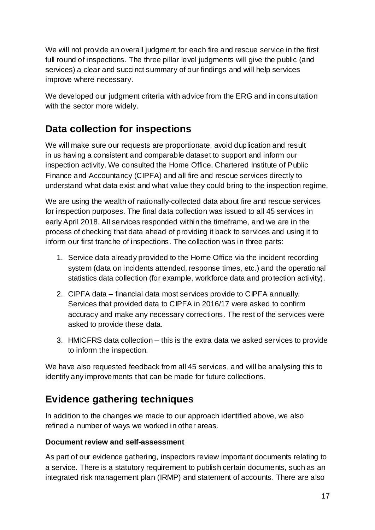We will not provide an overall judgment for each fire and rescue service in the first full round of inspections. The three pillar level judgments will give the public (and services) a clear and succinct summary of our findings and will help services improve where necessary.

We developed our judgment criteria with advice from the ERG and in consultation with the sector more widely.

# <span id="page-16-0"></span>**Data collection for inspections**

We will make sure our requests are proportionate, avoid duplication and result in us having a consistent and comparable dataset to support and inform our inspection activity. We consulted the Home Office, Chartered Institute of Public Finance and Accountancy (CIPFA) and all fire and rescue services directly to understand what data exist and what value they could bring to the inspection regime.

We are using the wealth of nationally-collected data about fire and rescue services for inspection purposes. The final data collection was issued to all 45 services in early April 2018. All services responded within the timeframe, and we are in the process of checking that data ahead of providing it back to services and using it to inform our first tranche of inspections. The collection was in three parts:

- 1. Service data already provided to the Home Office via the incident recording system (data on incidents attended, response times, etc.) and the operational statistics data collection (for example, workforce data and protection activity).
- 2. CIPFA data financial data most services provide to CIPFA annually. Services that provided data to CIPFA in 2016/17 were asked to confirm accuracy and make any necessary corrections. The rest of the services were asked to provide these data.
- 3. HMICFRS data collection this is the extra data we asked services to provide to inform the inspection.

We have also requested feedback from all 45 services, and will be analysing this to identify any improvements that can be made for future collections.

# <span id="page-16-1"></span>**Evidence gathering techniques**

In addition to the changes we made to our approach identified above, we also refined a number of ways we worked in other areas.

#### **Document review and self-assessment**

As part of our evidence gathering, inspectors review important documents relating to a service. There is a statutory requirement to publish certain documents, such as an integrated risk management plan (IRMP) and statement of accounts. There are also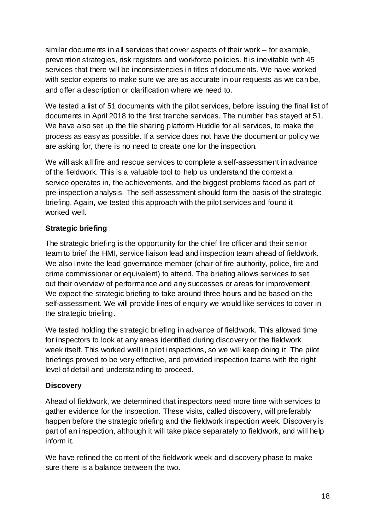similar documents in all services that cover aspects of their work – for example, prevention strategies, risk registers and workforce policies. It is inevitable with 45 services that there will be inconsistencies in titles of documents. We have worked with sector experts to make sure we are as accurate in our requests as we can be, and offer a description or clarification where we need to.

We tested a list of 51 documents with the pilot services, before issuing the final list of documents in April 2018 to the first tranche services. The number has stayed at 51. We have also set up the file sharing platform Huddle for all services, to make the process as easy as possible. If a service does not have the document or policy we are asking for, there is no need to create one for the inspection.

We will ask all fire and rescue services to complete a self-assessment in advance of the fieldwork. This is a valuable tool to help us understand the context a service operates in, the achievements, and the biggest problems faced as part of pre-inspection analysis. The self-assessment should form the basis of the strategic briefing. Again, we tested this approach with the pilot services and found it worked well.

#### **Strategic briefing**

The strategic briefing is the opportunity for the chief fire officer and their senior team to brief the HMI, service liaison lead and inspection team ahead of fieldwork. We also invite the lead governance member (chair of fire authority, police, fire and crime commissioner or equivalent) to attend. The briefing allows services to set out their overview of performance and any successes or areas for improvement. We expect the strategic briefing to take around three hours and be based on the self-assessment. We will provide lines of enquiry we would like services to cover in the strategic briefing.

We tested holding the strategic briefing in advance of fieldwork. This allowed time for inspectors to look at any areas identified during discovery or the fieldwork week itself. This worked well in pilot inspections, so we will keep doing it. The pilot briefings proved to be very effective, and provided inspection teams with the right level of detail and understanding to proceed.

#### **Discovery**

Ahead of fieldwork, we determined that inspectors need more time with services to gather evidence for the inspection. These visits, called discovery, will preferably happen before the strategic briefing and the fieldwork inspection week. Discovery is part of an inspection, although it will take place separately to fieldwork, and will help inform it.

We have refined the content of the fieldwork week and discovery phase to make sure there is a balance between the two.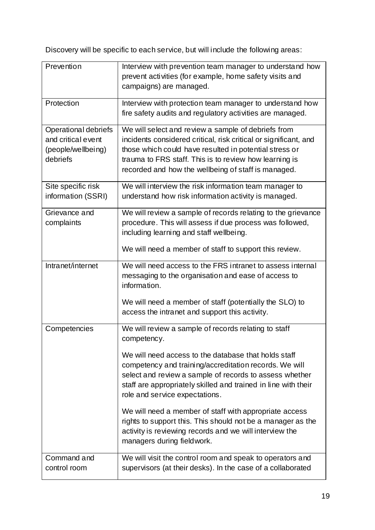Discovery will be specific to each service, but will include the following areas:

| Prevention                                                                          | Interview with prevention team manager to understand how<br>prevent activities (for example, home safety visits and<br>campaigns) are managed.                                                                                                                                                                                                                                                                                                                                                                                                                         |
|-------------------------------------------------------------------------------------|------------------------------------------------------------------------------------------------------------------------------------------------------------------------------------------------------------------------------------------------------------------------------------------------------------------------------------------------------------------------------------------------------------------------------------------------------------------------------------------------------------------------------------------------------------------------|
| Protection                                                                          | Interview with protection team manager to understand how<br>fire safety audits and regulatory activities are managed.                                                                                                                                                                                                                                                                                                                                                                                                                                                  |
| <b>Operational debriefs</b><br>and critical event<br>(people/wellbeing)<br>debriefs | We will select and review a sample of debriefs from<br>incidents considered critical, risk critical or significant, and<br>those which could have resulted in potential stress or<br>trauma to FRS staff. This is to review how learning is<br>recorded and how the wellbeing of staff is managed.                                                                                                                                                                                                                                                                     |
| Site specific risk<br>information (SSRI)                                            | We will interview the risk information team manager to<br>understand how risk information activity is managed.                                                                                                                                                                                                                                                                                                                                                                                                                                                         |
| Grievance and<br>complaints                                                         | We will review a sample of records relating to the grievance<br>procedure. This will assess if due process was followed,<br>including learning and staff wellbeing.<br>We will need a member of staff to support this review.                                                                                                                                                                                                                                                                                                                                          |
| Intranet/internet                                                                   | We will need access to the FRS intranet to assess internal<br>messaging to the organisation and ease of access to<br>information.<br>We will need a member of staff (potentially the SLO) to<br>access the intranet and support this activity.                                                                                                                                                                                                                                                                                                                         |
| Competencies                                                                        | We will review a sample of records relating to staff<br>competency.<br>We will need access to the database that holds staff<br>competency and training/accreditation records. We will<br>select and review a sample of records to assess whether<br>staff are appropriately skilled and trained in line with their<br>role and service expectations.<br>We will need a member of staff with appropriate access<br>rights to support this. This should not be a manager as the<br>activity is reviewing records and we will interview the<br>managers during fieldwork. |
| Command and<br>control room                                                         | We will visit the control room and speak to operators and<br>supervisors (at their desks). In the case of a collaborated                                                                                                                                                                                                                                                                                                                                                                                                                                               |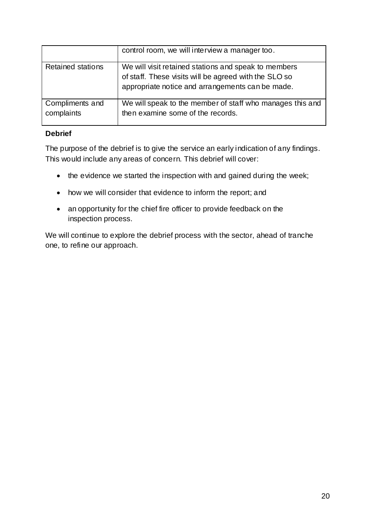|                               | control room, we will interview a manager too.                                                                                                                    |
|-------------------------------|-------------------------------------------------------------------------------------------------------------------------------------------------------------------|
| Retained stations             | We will visit retained stations and speak to members<br>of staff. These visits will be agreed with the SLO so<br>appropriate notice and arrangements can be made. |
| Compliments and<br>complaints | We will speak to the member of staff who manages this and<br>then examine some of the records.                                                                    |

#### **Debrief**

The purpose of the debrief is to give the service an early indication of any findings. This would include any areas of concern. This debrief will cover:

- the evidence we started the inspection with and gained during the week;
- how we will consider that evidence to inform the report; and
- an opportunity for the chief fire officer to provide feedback on the inspection process.

We will continue to explore the debrief process with the sector, ahead of tranche one, to refine our approach.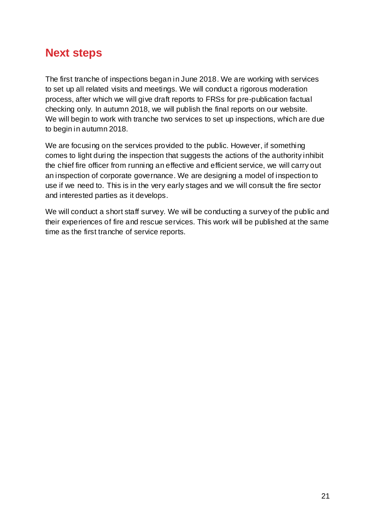# <span id="page-20-0"></span>**Next steps**

The first tranche of inspections began in June 2018. We are working with services to set up all related visits and meetings. We will conduct a rigorous moderation process, after which we will give draft reports to FRSs for pre-publication factual checking only. In autumn 2018, we will publish the final reports on our website. We will begin to work with tranche two services to set up inspections, which are due to begin in autumn 2018.

We are focusing on the services provided to the public. However, if something comes to light during the inspection that suggests the actions of the authority inhibit the chief fire officer from running an effective and efficient service, we will carry out an inspection of corporate governance. We are designing a model of inspection to use if we need to. This is in the very early stages and we will consult the fire sector and interested parties as it develops.

We will conduct a short staff survey. We will be conducting a survey of the public and their experiences of fire and rescue services. This work will be published at the same time as the first tranche of service reports.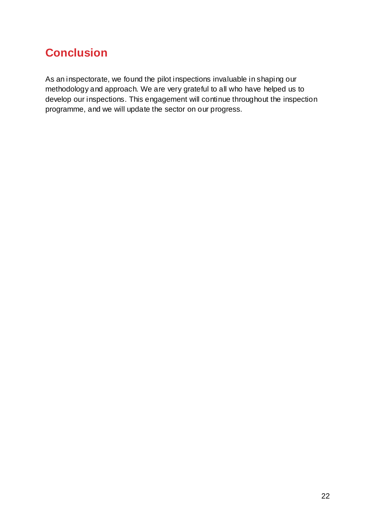# <span id="page-21-0"></span>**Conclusion**

As an inspectorate, we found the pilot inspections invaluable in shaping our methodology and approach. We are very grateful to all who have helped us to develop our inspections. This engagement will continue throughout the inspection programme, and we will update the sector on our progress.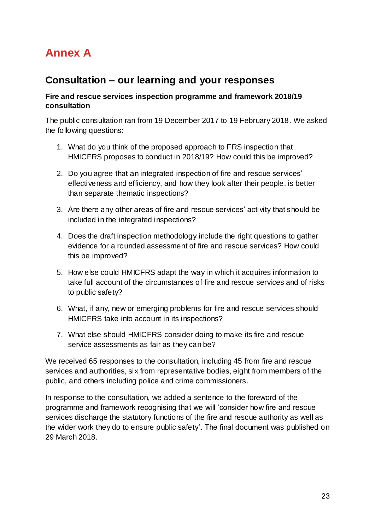# <span id="page-22-0"></span>**Annex A**

### **Consultation – our learning and your responses**

#### **Fire and rescue services inspection programme and framework 2018/19 consultation**

The public consultation ran from 19 December 2017 to 19 February 2018. We asked the following questions:

- 1. What do you think of the proposed approach to FRS inspection that HMICFRS proposes to conduct in 2018/19? How could this be improved?
- 2. Do you agree that an integrated inspection of fire and rescue services' effectiveness and efficiency, and how they look after their people, is better than separate thematic inspections?
- 3. Are there any other areas of fire and rescue services' activity that should be included in the integrated inspections?
- 4. Does the draft inspection methodology include the right questions to gather evidence for a rounded assessment of fire and rescue services? How could this be improved?
- 5. How else could HMICFRS adapt the way in which it acquires information to take full account of the circumstances of fire and rescue services and of risks to public safety?
- 6. What, if any, new or emerging problems for fire and rescue services should HMICFRS take into account in its inspections?
- 7. What else should HMICFRS consider doing to make its fire and rescue service assessments as fair as they can be?

We received 65 responses to the consultation, including 45 from fire and rescue services and authorities, six from representative bodies, eight from members of the public, and others including police and crime commissioners.

In response to the consultation, we added a sentence to the foreword of the programme and framework recognising that we will 'consider how fire and rescue services discharge the statutory functions of the fire and rescue authority as well as the wider work they do to ensure public safety'. The final document was published on 29 March 2018.